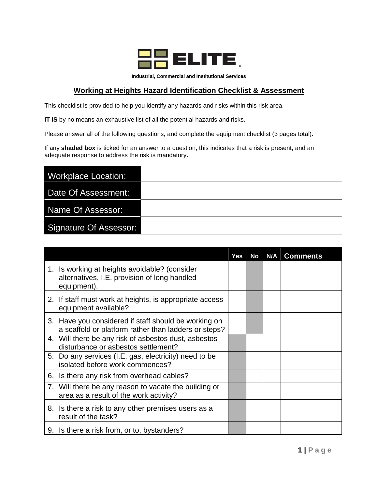

**Industrial, Commercial and Institutional Services**

## **Working at Heights Hazard Identification Checklist & Assessment**

This checklist is provided to help you identify any hazards and risks within this risk area.

**IT IS** by no means an exhaustive list of all the potential hazards and risks.

Please answer all of the following questions, and complete the equipment checklist (3 pages total).

If any **shaded box** is ticked for an answer to a question, this indicates that a risk is present, and an adequate response to address the risk is mandatory**.**

| <b>Workplace Location:</b>    |  |
|-------------------------------|--|
| Date Of Assessment:           |  |
| Name Of Assessor:             |  |
| <b>Signature Of Assessor:</b> |  |

|                                                                                                              | Yes | No | N/A | <b>Comments</b> |
|--------------------------------------------------------------------------------------------------------------|-----|----|-----|-----------------|
| 1. Is working at heights avoidable? (consider<br>alternatives, I.E. provision of long handled<br>equipment). |     |    |     |                 |
| 2. If staff must work at heights, is appropriate access<br>equipment available?                              |     |    |     |                 |
| 3. Have you considered if staff should be working on<br>a scaffold or platform rather than ladders or steps? |     |    |     |                 |
| 4. Will there be any risk of asbestos dust, asbestos<br>disturbance or asbestos settlement?                  |     |    |     |                 |
| 5. Do any services (I.E. gas, electricity) need to be<br>isolated before work commences?                     |     |    |     |                 |
| 6. Is there any risk from overhead cables?                                                                   |     |    |     |                 |
| 7. Will there be any reason to vacate the building or<br>area as a result of the work activity?              |     |    |     |                 |
| 8. Is there a risk to any other premises users as a<br>result of the task?                                   |     |    |     |                 |
| 9. Is there a risk from, or to, bystanders?                                                                  |     |    |     |                 |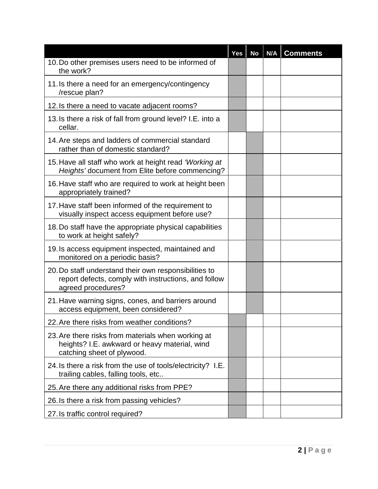|                                                                                                                                     | <b>Yes</b> | No | N/A | <b>Comments</b> |
|-------------------------------------------------------------------------------------------------------------------------------------|------------|----|-----|-----------------|
| 10. Do other premises users need to be informed of<br>the work?                                                                     |            |    |     |                 |
| 11. Is there a need for an emergency/contingency<br>/rescue plan?                                                                   |            |    |     |                 |
| 12. Is there a need to vacate adjacent rooms?                                                                                       |            |    |     |                 |
| 13. Is there a risk of fall from ground level? I.E. into a<br>cellar.                                                               |            |    |     |                 |
| 14. Are steps and ladders of commercial standard<br>rather than of domestic standard?                                               |            |    |     |                 |
| 15. Have all staff who work at height read 'Working at<br>Heights' document from Elite before commencing?                           |            |    |     |                 |
| 16. Have staff who are required to work at height been<br>appropriately trained?                                                    |            |    |     |                 |
| 17. Have staff been informed of the requirement to<br>visually inspect access equipment before use?                                 |            |    |     |                 |
| 18. Do staff have the appropriate physical capabilities<br>to work at height safely?                                                |            |    |     |                 |
| 19. Is access equipment inspected, maintained and<br>monitored on a periodic basis?                                                 |            |    |     |                 |
| 20. Do staff understand their own responsibilities to<br>report defects, comply with instructions, and follow<br>agreed procedures? |            |    |     |                 |
| 21. Have warning signs, cones, and barriers around<br>access equipment, been considered?                                            |            |    |     |                 |
| 22. Are there risks from weather conditions?                                                                                        |            |    |     |                 |
| 23. Are there risks from materials when working at<br>heights? I.E. awkward or heavy material, wind<br>catching sheet of plywood.   |            |    |     |                 |
| 24. Is there a risk from the use of tools/electricity? I.E.<br>trailing cables, falling tools, etc                                  |            |    |     |                 |
| 25. Are there any additional risks from PPE?                                                                                        |            |    |     |                 |
| 26. Is there a risk from passing vehicles?                                                                                          |            |    |     |                 |
| 27. Is traffic control required?                                                                                                    |            |    |     |                 |